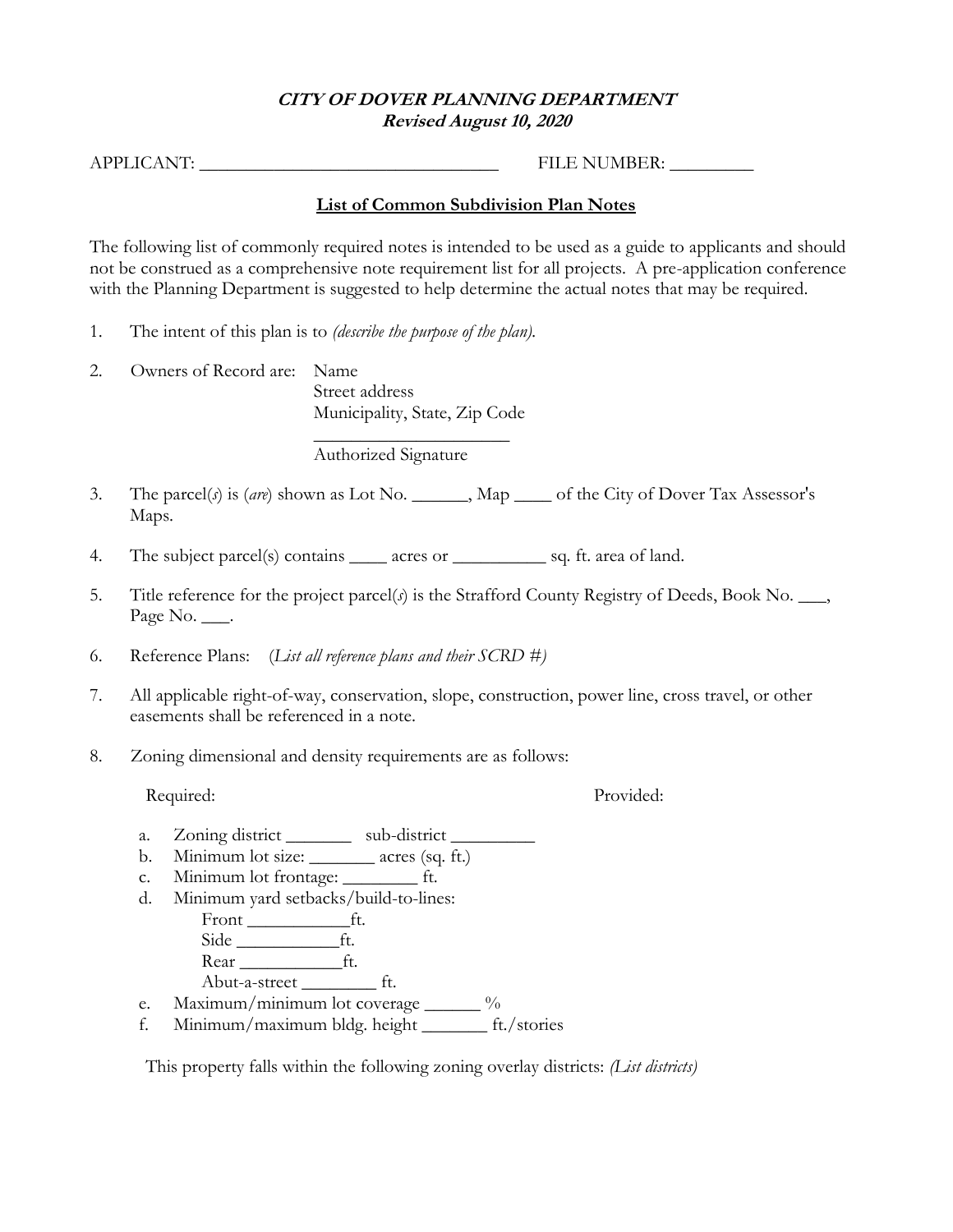## **CITY OF DOVER PLANNING DEPARTMENT Revised August 10, 2020**

APPLICANT: \_\_\_\_\_\_\_\_\_\_\_\_\_\_\_\_\_\_\_\_\_\_\_\_\_\_\_\_\_\_\_\_ FILE NUMBER: \_\_\_\_\_\_\_\_\_

## **List of Common Subdivision Plan Notes**

The following list of commonly required notes is intended to be used as a guide to applicants and should not be construed as a comprehensive note requirement list for all projects. A pre-application conference with the Planning Department is suggested to help determine the actual notes that may be required.

- 1. The intent of this plan is to *(describe the purpose of the plan).*
- 2. Owners of Record are: Name Street address Municipality, State, Zip Code

 $\overline{\phantom{a}}$  , where  $\overline{\phantom{a}}$  , where  $\overline{\phantom{a}}$ Authorized Signature

- 3. The parcel(*s*) is (*are*) shown as Lot No. \_\_\_\_\_\_, Map \_\_\_\_ of the City of Dover Tax Assessor's Maps.
- 4. The subject parcel(s) contains \_\_\_\_\_ acres or \_\_\_\_\_\_\_\_\_\_\_\_ sq. ft. area of land.
- 5. Title reference for the project parcel(*s*) is the Strafford County Registry of Deeds, Book No. \_\_\_, Page No. \_\_\_.
- 6. Reference Plans: (*List all reference plans and their SCRD #)*
- 7. All applicable right-of-way, conservation, slope, construction, power line, cross travel, or other easements shall be referenced in a note.
- 8. Zoning dimensional and density requirements are as follows:

Required: Provided:

- a. Zoning district \_\_\_\_\_\_\_\_ sub-district \_\_\_\_\_\_\_\_
- b. Minimum lot size: \_\_\_\_\_\_\_ acres (sq. ft.)
- c. Minimum lot frontage: \_\_\_\_\_\_\_\_ ft.
- d. Minimum yard setbacks/build-to-lines:
	- Front \_\_\_\_\_\_\_\_\_\_\_ft. Side <u>\_\_\_\_\_\_\_\_\_\_\_\_\_</u>ft.
	- Rear \_\_\_\_\_\_\_\_\_\_\_ft.
- Abut-a-street \_\_\_\_\_\_\_\_ ft. e. Maximum/minimum lot coverage \_\_\_\_\_\_ %
- f. Minimum/maximum bldg. height \_\_\_\_\_\_\_ ft./stories

This property falls within the following zoning overlay districts: *(List districts)*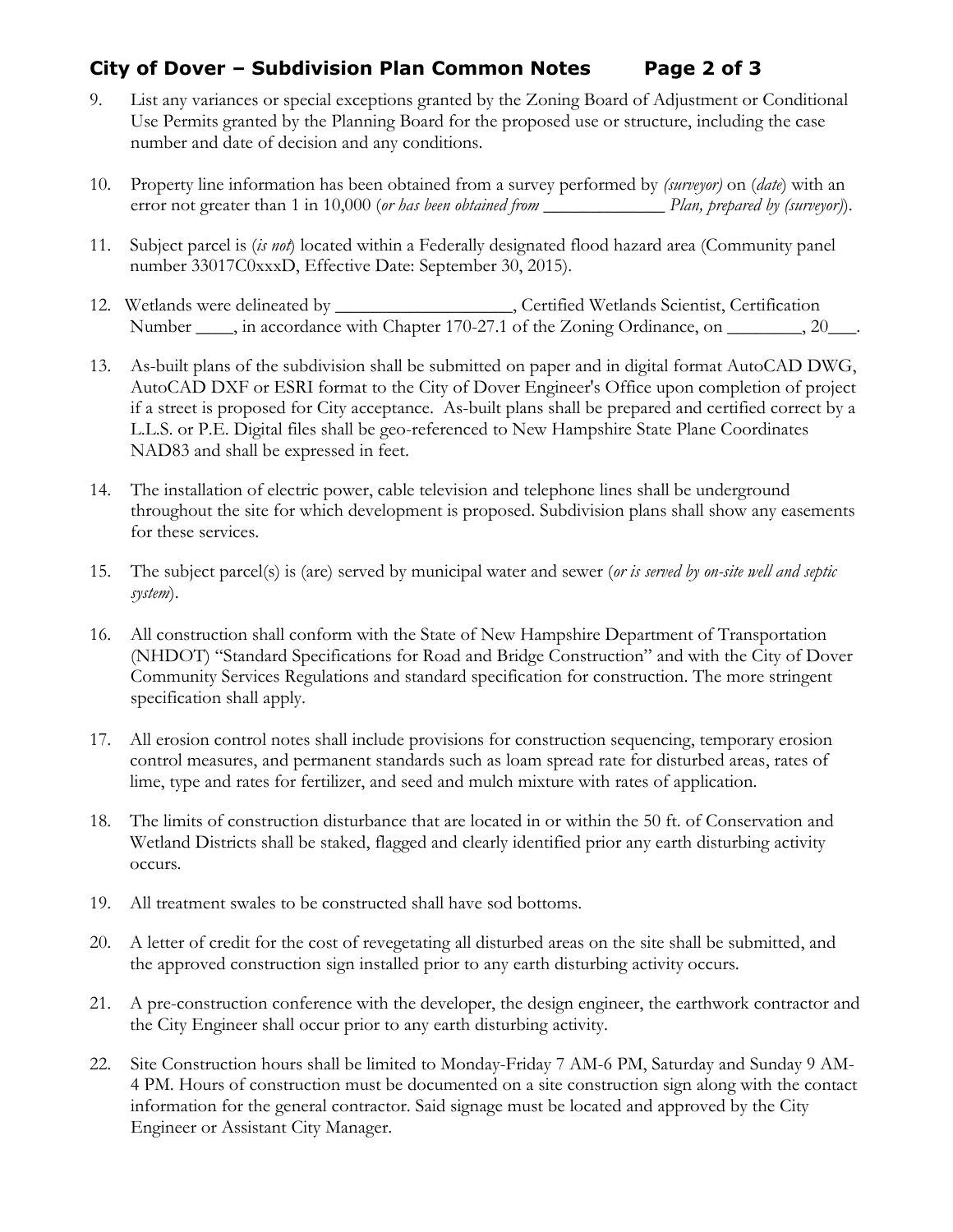## **City of Dover – Subdivision Plan Common Notes Page 2 of 3**

- 9. List any variances or special exceptions granted by the Zoning Board of Adjustment or Conditional Use Permits granted by the Planning Board for the proposed use or structure, including the case number and date of decision and any conditions.
- 10. Property line information has been obtained from a survey performed by *(surveyor)* on (*date*) with an error not greater than 1 in 10,000 (*or has been obtained from* \_\_\_\_\_\_\_\_\_\_\_\_\_ *Plan, prepared by (surveyor)*).
- 11. Subject parcel is (*is not*) located within a Federally designated flood hazard area (Community panel number 33017C0xxxD, Effective Date: September 30, 2015).
- 12. Wetlands were delineated by \_\_\_\_\_\_\_\_\_\_\_\_\_\_\_\_\_\_\_, Certified Wetlands Scientist, Certification Number \_\_\_\_, in accordance with Chapter 170-27.1 of the Zoning Ordinance, on \_\_\_\_\_\_\_, 20\_\_\_.
- 13. As-built plans of the subdivision shall be submitted on paper and in digital format AutoCAD DWG, AutoCAD DXF or ESRI format to the City of Dover Engineer's Office upon completion of project if a street is proposed for City acceptance. As-built plans shall be prepared and certified correct by a L.L.S. or P.E. Digital files shall be geo-referenced to New Hampshire State Plane Coordinates NAD83 and shall be expressed in feet.
- 14. The installation of electric power, cable television and telephone lines shall be underground throughout the site for which development is proposed. Subdivision plans shall show any easements for these services.
- 15. The subject parcel(s) is (are) served by municipal water and sewer (*or is served by on-site well and septic system*).
- 16. All construction shall conform with the State of New Hampshire Department of Transportation (NHDOT) "Standard Specifications for Road and Bridge Construction" and with the City of Dover Community Services Regulations and standard specification for construction. The more stringent specification shall apply.
- 17. All erosion control notes shall include provisions for construction sequencing, temporary erosion control measures, and permanent standards such as loam spread rate for disturbed areas, rates of lime, type and rates for fertilizer, and seed and mulch mixture with rates of application.
- 18. The limits of construction disturbance that are located in or within the 50 ft. of Conservation and Wetland Districts shall be staked, flagged and clearly identified prior any earth disturbing activity occurs.
- 19. All treatment swales to be constructed shall have sod bottoms.
- 20. A letter of credit for the cost of revegetating all disturbed areas on the site shall be submitted, and the approved construction sign installed prior to any earth disturbing activity occurs.
- 21. A pre-construction conference with the developer, the design engineer, the earthwork contractor and the City Engineer shall occur prior to any earth disturbing activity.
- 22. Site Construction hours shall be limited to Monday-Friday 7 AM-6 PM, Saturday and Sunday 9 AM-4 PM. Hours of construction must be documented on a site construction sign along with the contact information for the general contractor. Said signage must be located and approved by the City Engineer or Assistant City Manager.